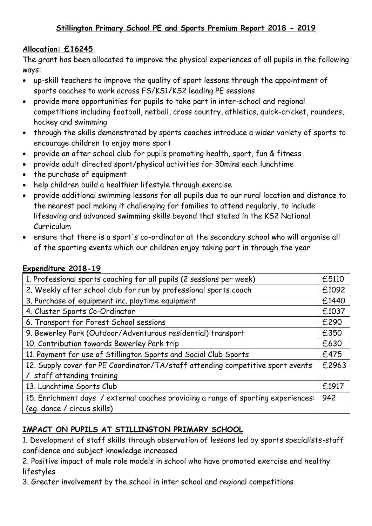## **Allocation: £16245**

The grant has been allocated to improve the physical experiences of all pupils in the following ways:

- up-skill teachers to improve the quality of sport lessons through the appointment of sports coaches to work across FS/KS1/KS2 leading PE sessions
- provide more opportunities for pupils to take part in inter-school and regional competitions including football, netball, cross country, athletics, quick-cricket, rounders, hockey and swimming
- through the skills demonstrated by sports coaches introduce a wider variety of sports to encourage children to enjoy more sport
- provide an after school club for pupils promoting health, sport, fun & fitness
- provide adult directed sport/physical activities for 30mins each lunchtime
- the purchase of equipment
- help children build a healthier lifestyle through exercise
- provide additional swimming lessons for all pupils due to our rural location and distance to the nearest pool making it challenging for families to attend regularly, to include lifesaving and advanced swimming skills beyond that stated in the KS2 National Curriculum
- ensure that there is a sport's co-ordinator at the secondary school who will organise all of the sporting events which our children enjoy taking part in through the year

## **Expenditure 2018-19**

| 1. Professional sports coaching for all pupils (2 sessions per week)              | £5110 |
|-----------------------------------------------------------------------------------|-------|
| 2. Weekly after school club for run by professional sports coach                  | £1092 |
| 3. Purchase of equipment inc. playtime equipment                                  | £1440 |
| 4. Cluster Sports Co-Ordinator                                                    | £1037 |
| 6. Transport for Forest School sessions                                           | £290  |
| 9. Bewerley Park (Outdoor/Adventurous residential) transport                      | £350  |
| 10. Contribution towards Bewerley Park trip                                       | £630  |
| 11. Payment for use of Stillington Sports and Social Club Sports                  | £475  |
| 12. Supply cover for PE Coordinator/TA/staff attending competitive sport events   | £2963 |
| staff attending training                                                          |       |
| 13. Lunchtime Sports Club                                                         | £1917 |
| 15. Enrichment days / external coaches providing a range of sporting experiences: | 942   |
| (eq. dance / circus skills)                                                       |       |

## **IMPACT ON PUPILS AT STILLINGTON PRIMARY SCHOOL**

1. Development of staff skills through observation of lessons led by sports specialists-staff confidence and subject knowledge increased

2. Positive impact of male role models in school who have promoted exercise and healthy lifestyles

3. Greater involvement by the school in inter school and regional competitions